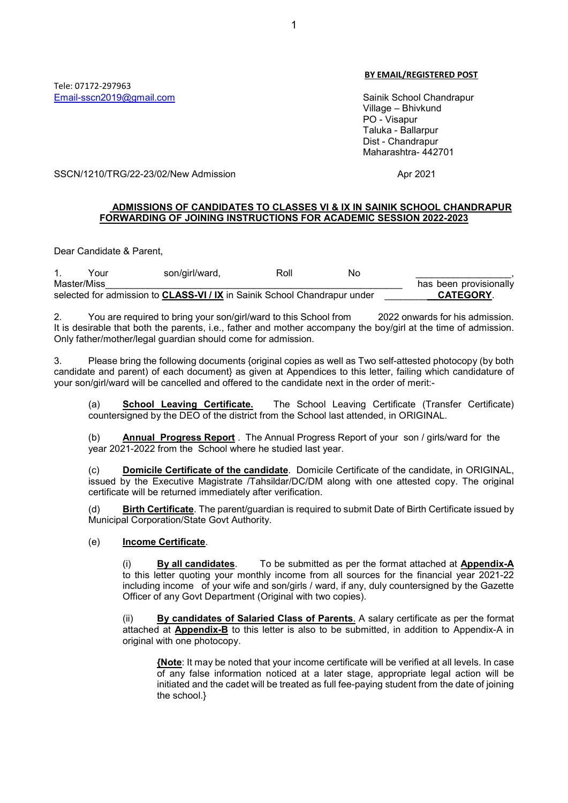#### BY EMAIL/REGISTERED POST

 Village – Bhivkund PO - Visapur Taluka - Ballarpur Dist - Chandrapur Maharashtra- 442701

SSCN/1210/TRG/22-23/02/New Admission Apr 2021

# ADMISSIONS OF CANDIDATES TO CLASSES VI & IX IN SAINIK SCHOOL CHANDRAPUR FORWARDING OF JOINING INSTRUCTIONS FOR ACADEMIC SESSION 2022-2023

Dear Candidate & Parent,

|             | Your | son/girl/ward,                                                                   | Roll | No |                        |
|-------------|------|----------------------------------------------------------------------------------|------|----|------------------------|
| Master/Miss |      |                                                                                  |      |    | has been provisionally |
|             |      | selected for admission to <b>CLASS-VI / IX</b> in Sainik School Chandrapur under |      |    | <b>CATEGORY</b>        |

2. You are required to bring your son/girl/ward to this School from 2022 onwards for his admission. It is desirable that both the parents, i.e., father and mother accompany the boy/girl at the time of admission. Only father/mother/legal guardian should come for admission.

3. Please bring the following documents {original copies as well as Two self-attested photocopy (by both candidate and parent) of each document} as given at Appendices to this letter, failing which candidature of your son/girl/ward will be cancelled and offered to the candidate next in the order of merit:-

(a) School Leaving Certificate. The School Leaving Certificate (Transfer Certificate) countersigned by the DEO of the district from the School last attended, in ORIGINAL.

 (b) Annual Progress Report . The Annual Progress Report of your son / girls/ward for the year 2021-2022 from the School where he studied last year.

Domicile Certificate of the candidate. Domicile Certificate of the candidate, in ORIGINAL, issued by the Executive Magistrate /Tahsildar/DC/DM along with one attested copy. The original certificate will be returned immediately after verification.

(d) Birth Certificate. The parent/guardian is required to submit Date of Birth Certificate issued by Municipal Corporation/State Govt Authority.

#### (e) Income Certificate.

(i) By all candidates. To be submitted as per the format attached at Appendix-A to this letter quoting your monthly income from all sources for the financial year 2021-22 including income of your wife and son/girls / ward, if any, duly countersigned by the Gazette Officer of any Govt Department (Original with two copies).

(ii) By candidates of Salaried Class of Parents. A salary certificate as per the format attached at Appendix-B to this letter is also to be submitted, in addition to Appendix-A in original with one photocopy.

{Note: It may be noted that your income certificate will be verified at all levels. In case of any false information noticed at a later stage, appropriate legal action will be initiated and the cadet will be treated as full fee-paying student from the date of joining the school.}

Tele: 07172-297963 Email-sscn2019@gmail.com Sainik School Chandrapur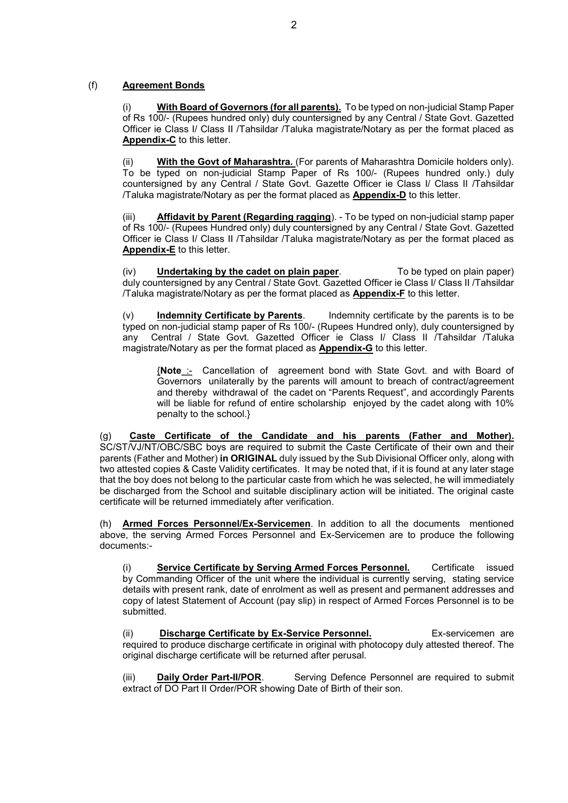# (f) Agreement Bonds

With Board of Governors (for all parents). To be typed on non-judicial Stamp Paper of Rs 100/- (Rupees hundred only) duly countersigned by any Central / State Govt. Gazetted Officer ie Class I/ Class II /Tahsildar /Taluka magistrate/Notary as per the format placed as Appendix-C to this letter.

(ii) With the Govt of Maharashtra. (For parents of Maharashtra Domicile holders only). To be typed on non-judicial Stamp Paper of Rs 100/- (Rupees hundred only.) duly countersigned by any Central / State Govt. Gazette Officer ie Class I/ Class II /Tahsildar /Taluka magistrate/Notary as per the format placed as Appendix-D to this letter.

(iii) Affidavit by Parent (Regarding ragging). - To be typed on non-judicial stamp paper of Rs 100/- (Rupees Hundred only) duly countersigned by any Central / State Govt. Gazetted Officer ie Class I/ Class II /Tahsildar /Taluka magistrate/Notary as per the format placed as Appendix-E to this letter.

(iv) **Undertaking by the cadet on plain paper**. To be typed on plain paper) duly countersigned by any Central / State Govt. Gazetted Officer ie Class I/ Class II /Tahsildar /Taluka magistrate/Notary as per the format placed as **Appendix-F** to this letter.

 $(v)$  Indemnity Certificate by Parents. Indemnity certificate by the parents is to be typed on non-judicial stamp paper of Rs 100/- (Rupees Hundred only), duly countersigned by any Central / State Govt. Gazetted Officer ie Class I/ Class II /Tahsildar /Taluka magistrate/Notary as per the format placed as Appendix-G to this letter.

{Note :- Cancellation of agreement bond with State Govt. and with Board of Governors unilaterally by the parents will amount to breach of contract/agreement and thereby withdrawal of the cadet on "Parents Request", and accordingly Parents will be liable for refund of entire scholarship enjoyed by the cadet along with 10% penalty to the school.}

(g) Caste Certificate of the Candidate and his parents (Father and Mother). SC/ST/VJ/NT/OBC/SBC boys are required to submit the Caste Certificate of their own and their parents (Father and Mother) in ORIGINAL duly issued by the Sub Divisional Officer only, along with two attested copies & Caste Validity certificates. It may be noted that, if it is found at any later stage that the boy does not belong to the particular caste from which he was selected, he will immediately be discharged from the School and suitable disciplinary action will be initiated. The original caste certificate will be returned immediately after verification.

(h) Armed Forces Personnel/Ex-Servicemen. In addition to all the documents mentioned above, the serving Armed Forces Personnel and Ex-Servicemen are to produce the following documents:-

(i) Service Certificate by Serving Armed Forces Personnel. Certificate issued by Commanding Officer of the unit where the individual is currently serving, stating service details with present rank, date of enrolment as well as present and permanent addresses and copy of latest Statement of Account (pay slip) in respect of Armed Forces Personnel is to be submitted.

(ii) **Discharge Certificate by Ex-Service Personnel.** Ex-servicemen are required to produce discharge certificate in original with photocopy duly attested thereof. The original discharge certificate will be returned after perusal.

(iii) Daily Order Part-II/POR. Serving Defence Personnel are required to submit extract of DO Part II Order/POR showing Date of Birth of their son.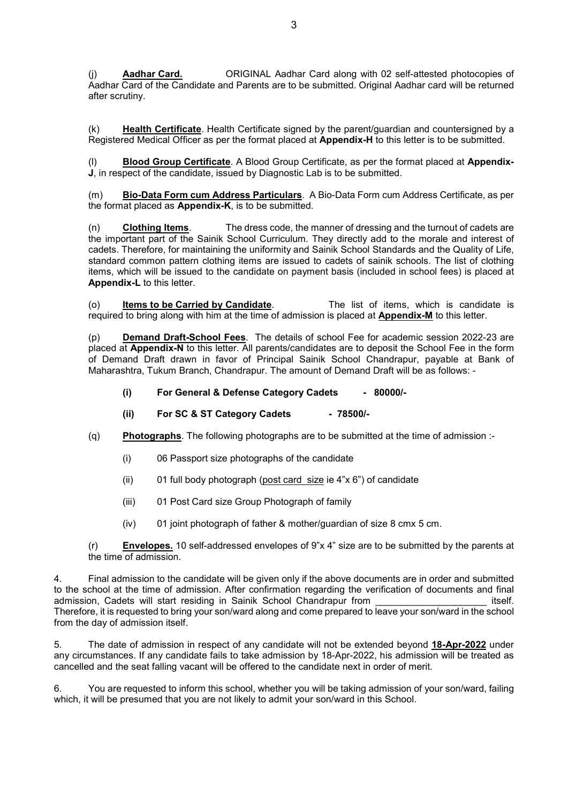(j) **Aadhar Card. ORIGINAL Aadhar Card along with 02 self-attested photocopies of** Aadhar Card of the Candidate and Parents are to be submitted. Original Aadhar card will be returned after scrutiny.

(k) Health Certificate. Health Certificate signed by the parent/guardian and countersigned by a Registered Medical Officer as per the format placed at Appendix-H to this letter is to be submitted.

Blood Group Certificate. A Blood Group Certificate, as per the format placed at Appendix-J, in respect of the candidate, issued by Diagnostic Lab is to be submitted.

(m) Bio-Data Form cum Address Particulars. A Bio-Data Form cum Address Certificate, as per the format placed as Appendix-K, is to be submitted.

(n) Clothing Items. The dress code, the manner of dressing and the turnout of cadets are the important part of the Sainik School Curriculum. They directly add to the morale and interest of cadets. Therefore, for maintaining the uniformity and Sainik School Standards and the Quality of Life, standard common pattern clothing items are issued to cadets of sainik schools. The list of clothing items, which will be issued to the candidate on payment basis (included in school fees) is placed at Appendix-L to this letter.

(o) Items to be Carried by Candidate. The list of items, which is candidate is required to bring along with him at the time of admission is placed at Appendix-M to this letter.

(p) Demand Draft-School Fees. The details of school Fee for academic session 2022-23 are placed at Appendix-N to this letter. All parents/candidates are to deposit the School Fee in the form of Demand Draft drawn in favor of Principal Sainik School Chandrapur, payable at Bank of Maharashtra, Tukum Branch, Chandrapur. The amount of Demand Draft will be as follows: -

(i) For General & Defense Category Cadets - 80000/-

- (ii) For SC & ST Category Cadets 78500/-
- $(q)$  Photographs. The following photographs are to be submitted at the time of admission :-
	- (i) 06 Passport size photographs of the candidate
	- (ii) 01 full body photograph (post card size ie  $4"x 6"$ ) of candidate
	- (iii) 01 Post Card size Group Photograph of family
	- (iv) 01 joint photograph of father & mother/guardian of size 8 cmx 5 cm.

 $(r)$  Envelopes. 10 self-addressed envelopes of  $9"x 4"$  size are to be submitted by the parents at the time of admission.

4. Final admission to the candidate will be given only if the above documents are in order and submitted to the school at the time of admission. After confirmation regarding the verification of documents and final admission, Cadets will start residing in Sainik School Chandrapur from \_\_\_\_\_\_\_\_\_\_\_\_\_\_\_\_\_\_\_\_\_ itself. Therefore, it is requested to bring your son/ward along and come prepared to leave your son/ward in the school from the day of admission itself.

5. The date of admission in respect of any candidate will not be extended beyond 18-Apr-2022 under any circumstances. If any candidate fails to take admission by 18-Apr-2022, his admission will be treated as cancelled and the seat falling vacant will be offered to the candidate next in order of merit.

6. You are requested to inform this school, whether you will be taking admission of your son/ward, failing which, it will be presumed that you are not likely to admit your son/ward in this School.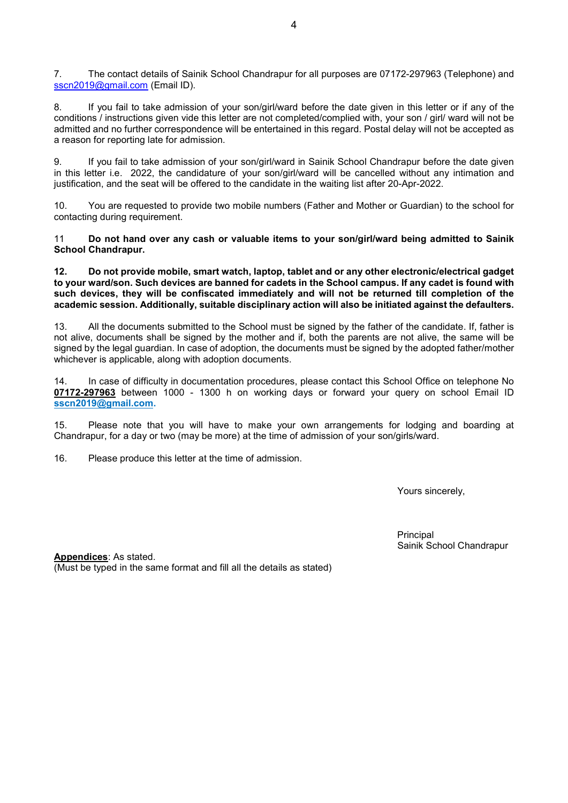7. The contact details of Sainik School Chandrapur for all purposes are 07172-297963 (Telephone) and sscn2019@gmail.com (Email ID).

8. If you fail to take admission of your son/girl/ward before the date given in this letter or if any of the conditions / instructions given vide this letter are not completed/complied with, your son / girl/ ward will not be admitted and no further correspondence will be entertained in this regard. Postal delay will not be accepted as a reason for reporting late for admission.

9. If you fail to take admission of your son/girl/ward in Sainik School Chandrapur before the date given in this letter i.e. 2022, the candidature of your son/girl/ward will be cancelled without any intimation and justification, and the seat will be offered to the candidate in the waiting list after 20-Apr-2022.

10. You are requested to provide two mobile numbers (Father and Mother or Guardian) to the school for contacting during requirement.

11 Do not hand over any cash or valuable items to your son/girl/ward being admitted to Sainik School Chandrapur.

12. Do not provide mobile, smart watch, laptop, tablet and or any other electronic/electrical gadget to your ward/son. Such devices are banned for cadets in the School campus. If any cadet is found with such devices, they will be confiscated immediately and will not be returned till completion of the academic session. Additionally, suitable disciplinary action will also be initiated against the defaulters.

13. All the documents submitted to the School must be signed by the father of the candidate. If, father is not alive, documents shall be signed by the mother and if, both the parents are not alive, the same will be signed by the legal guardian. In case of adoption, the documents must be signed by the adopted father/mother whichever is applicable, along with adoption documents.

14. In case of difficulty in documentation procedures, please contact this School Office on telephone No 07172-297963 between 1000 - 1300 h on working days or forward your query on school Email ID sscn2019@gmail.com.

15. Please note that you will have to make your own arrangements for lodging and boarding at Chandrapur, for a day or two (may be more) at the time of admission of your son/girls/ward.

16. Please produce this letter at the time of admission.

Yours sincerely,

e de la contradición de la contradición de la contradición de la contradición de la contradición de la contrad Sainik School Chandrapur

Appendices: As stated. (Must be typed in the same format and fill all the details as stated)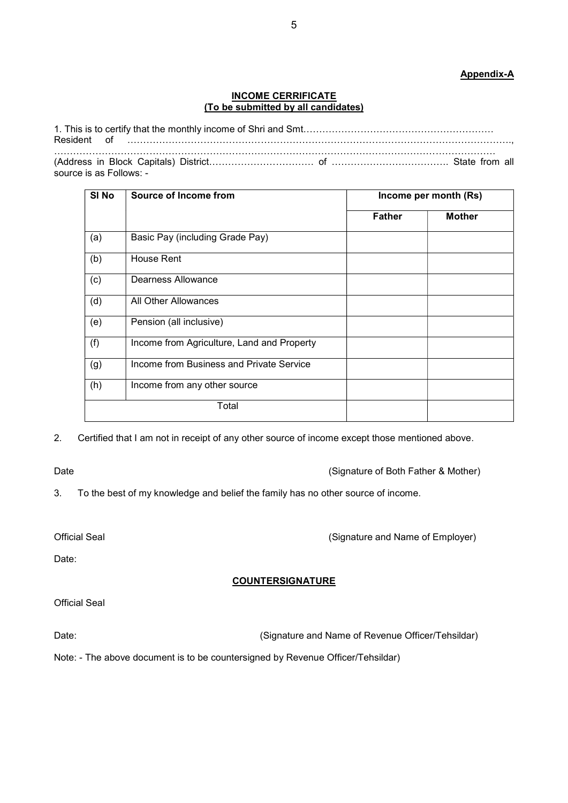# Appendix-A

#### INCOME CERRIFICATE (To be submitted by all candidates)

1. This is to certify that the monthly income of Shri and Smt…………………………………………………… Resident of …………………………………………………………………………………………………………., …………………………………………………………………………………………………………………………. (Address in Block Capitals) District…………………………… of ………………………………. State from all source is as Follows: -

| SI <sub>No</sub> | Source of Income from                      | Income per month (Rs) |               |  |
|------------------|--------------------------------------------|-----------------------|---------------|--|
|                  |                                            | <b>Father</b>         | <b>Mother</b> |  |
| (a)              | Basic Pay (including Grade Pay)            |                       |               |  |
| (b)              | House Rent                                 |                       |               |  |
| (c)              | Dearness Allowance                         |                       |               |  |
| (d)              | All Other Allowances                       |                       |               |  |
| (e)              | Pension (all inclusive)                    |                       |               |  |
| (f)              | Income from Agriculture, Land and Property |                       |               |  |
| (g)              | Income from Business and Private Service   |                       |               |  |
| (h)              | Income from any other source               |                       |               |  |
|                  | Total                                      |                       |               |  |

2. Certified that I am not in receipt of any other source of income except those mentioned above.

Date **Date Contract Contract Contract Contract Contract Contract Contract Contract Contract Contract Contract Contract Contract Contract Contract Contract Contract Contract Contract Contract Contract Contract Contract Co** 

3. To the best of my knowledge and belief the family has no other source of income.

Official Seal (Signature and Name of Employer)

Date:

# **COUNTERSIGNATURE**

Date: Charles Communication (Signature and Name of Revenue Officer/Tehsildar)

Note: - The above document is to be countersigned by Revenue Officer/Tehsildar)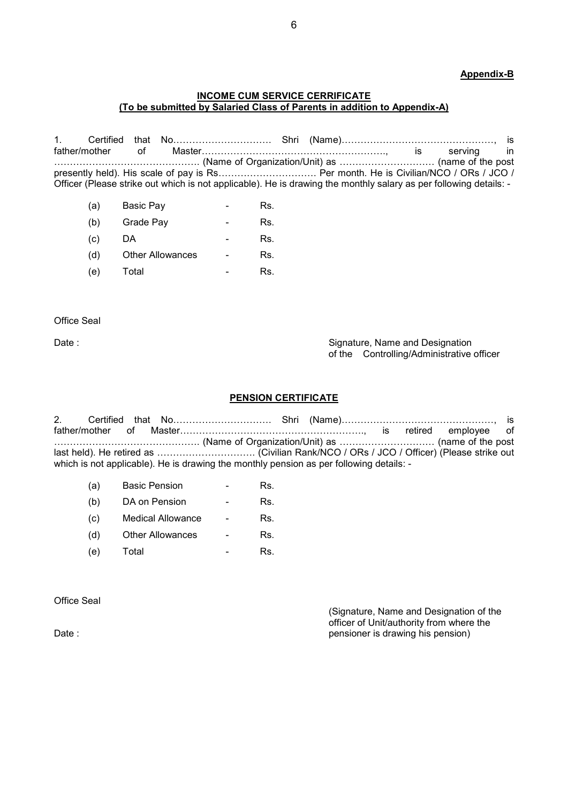## Appendix-B

#### INCOME CUM SERVICE CERRIFICATE (To be submitted by Salaried Class of Parents in addition to Appendix-A)

1. Certified that No…………………………. Shri (Name)…………………………………………, is father/mother of Master…………………………………………………., is serving in ………………………………………. (Name of Organization/Unit) as ………………………… (name of the post presently held). His scale of pay is Rs……………………………….. Per month. He is Civilian/NCO / ORs / JCO / Officer (Please strike out which is not applicable). He is drawing the monthly salary as per following details: -

| (a)               | Basic Pay               | Rs. |
|-------------------|-------------------------|-----|
| (b)               | Grade Pay               | Rs. |
| $\left( c\right)$ | DA                      | Rs. |
| (d)               | <b>Other Allowances</b> | Rs. |
| (e)               | Total                   | Rs. |

Office Seal

Date : Signature, Name and Designation **Date :** Signature, Name and Designation of the Controlling/Administrative officer

#### PENSION CERTIFICATE

2. Certified that No…………………………. Shri (Name)…………………………………………, is father/mother of Master…………………………………………………., is retired employee of ………………………………………. (Name of Organization/Unit) as ………………………… (name of the post last held). He retired as …………………………. (Civilian Rank/NCO / ORs / JCO / Officer) (Please strike out which is not applicable). He is drawing the monthly pension as per following details: -

| (a) | <b>Basic Pension</b>    | Rs. |
|-----|-------------------------|-----|
| (b) | DA on Pension           | Rs. |
| (C) | Medical Allowance       | Rs. |
| (d) | <b>Other Allowances</b> | Rs. |
| (e) | Total                   | Rs. |

Office Seal

(Signature, Name and Designation of the officer of Unit/authority from where the Date : **pensioner is drawing his pension**) **Date : pensioner is drawing his pension**)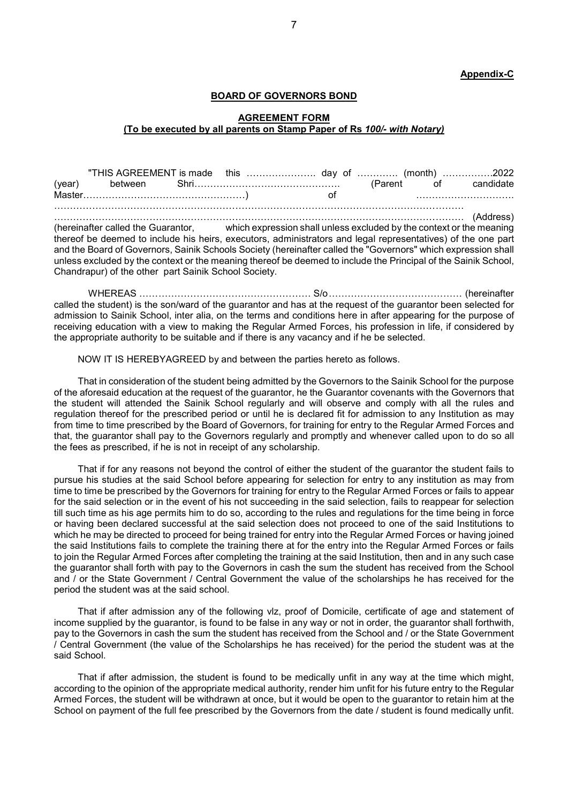Appendix-C

#### BOARD OF GOVERNORS BOND

#### AGREEMENT FORM (To be executed by all parents on Stamp Paper of Rs 100/- with Notary)

 "THIS AGREEMENT is made this …………………. day of …………. (month) …………….2022 (year) between Shri………………………………………. (Parent of candidate Master……………………………………………) of …………………………. ………………………………………………………………………………………………………………… ………………………………………………………………………………………………………………… (Address) (hereinafter called the Guarantor, which expression shall unless excluded by the context or the meaning

thereof be deemed to include his heirs, executors, administrators and legal representatives) of the one part and the Board of Governors, Sainik Schools Society (hereinafter called the "Governors" which expression shall unless excluded by the context or the meaning thereof be deemed to include the Principal of the Sainik School, Chandrapur) of the other part Sainik School Society.

 WHEREAS ……………………………………………… S/o …………………………………… (hereinafter called the student) is the son/ward of the guarantor and has at the request of the guarantor been selected for admission to Sainik School, inter alia, on the terms and conditions here in after appearing for the purpose of receiving education with a view to making the Regular Armed Forces, his profession in life, if considered by the appropriate authority to be suitable and if there is any vacancy and if he be selected.

NOW IT IS HEREBYAGREED by and between the parties hereto as follows.

That in consideration of the student being admitted by the Governors to the Sainik School for the purpose of the aforesaid education at the request of the guarantor, he the Guarantor covenants with the Governors that the student will attended the Sainik School regularly and will observe and comply with all the rules and regulation thereof for the prescribed period or until he is declared fit for admission to any Institution as may from time to time prescribed by the Board of Governors, for training for entry to the Regular Armed Forces and that, the guarantor shall pay to the Governors regularly and promptly and whenever called upon to do so all the fees as prescribed, if he is not in receipt of any scholarship.

That if for any reasons not beyond the control of either the student of the guarantor the student fails to pursue his studies at the said School before appearing for selection for entry to any institution as may from time to time be prescribed by the Governors for training for entry to the Regular Armed Forces or fails to appear for the said selection or in the event of his not succeeding in the said selection, fails to reappear for selection till such time as his age permits him to do so, according to the rules and regulations for the time being in force or having been declared successful at the said selection does not proceed to one of the said Institutions to which he may be directed to proceed for being trained for entry into the Regular Armed Forces or having joined the said Institutions fails to complete the training there at for the entry into the Regular Armed Forces or fails to join the Regular Armed Forces after completing the training at the said Institution, then and in any such case the guarantor shall forth with pay to the Governors in cash the sum the student has received from the School and / or the State Government / Central Government the value of the scholarships he has received for the period the student was at the said school.

That if after admission any of the following vlz, proof of Domicile, certificate of age and statement of income supplied by the guarantor, is found to be false in any way or not in order, the guarantor shall forthwith, pay to the Governors in cash the sum the student has received from the School and / or the State Government / Central Government (the value of the Scholarships he has received) for the period the student was at the said School.

That if after admission, the student is found to be medically unfit in any way at the time which might, according to the opinion of the appropriate medical authority, render him unfit for his future entry to the Regular Armed Forces, the student will be withdrawn at once, but it would be open to the guarantor to retain him at the School on payment of the full fee prescribed by the Governors from the date / student is found medically unfit.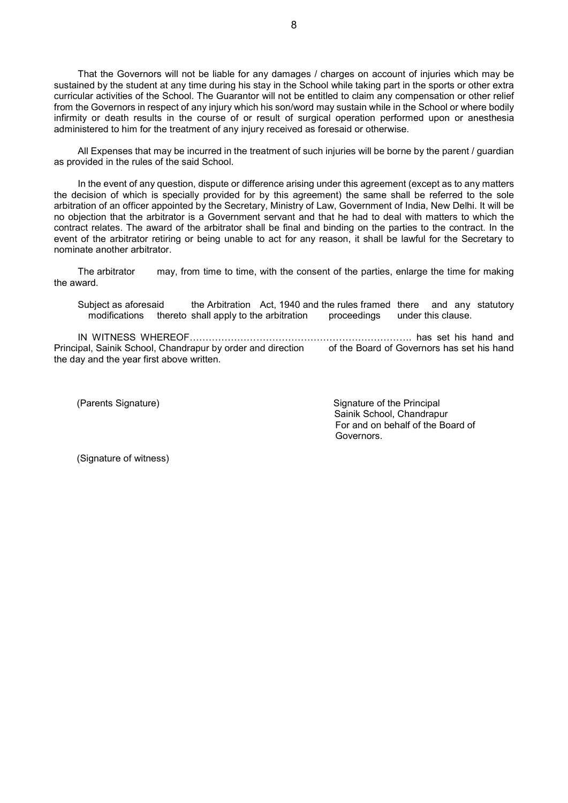That the Governors will not be liable for any damages / charges on account of injuries which may be sustained by the student at any time during his stay in the School while taking part in the sports or other extra curricular activities of the School. The Guarantor will not be entitled to claim any compensation or other relief from the Governors in respect of any injury which his son/word may sustain while in the School or where bodily infirmity or death results in the course of or result of surgical operation performed upon or anesthesia administered to him for the treatment of any injury received as foresaid or otherwise.

All Expenses that may be incurred in the treatment of such injuries will be borne by the parent / guardian as provided in the rules of the said School.

In the event of any question, dispute or difference arising under this agreement (except as to any matters the decision of which is specially provided for by this agreement) the same shall be referred to the sole arbitration of an officer appointed by the Secretary, Ministry of Law, Government of India, New Delhi. It will be no objection that the arbitrator is a Government servant and that he had to deal with matters to which the contract relates. The award of the arbitrator shall be final and binding on the parties to the contract. In the event of the arbitrator retiring or being unable to act for any reason, it shall be lawful for the Secretary to nominate another arbitrator.

The arbitrator may, from time to time, with the consent of the parties, enlarge the time for making the award.

Subject as aforesaid the Arbitration Act, 1940 and the rules framed there and any statutory modifications thereto shall apply to the arbitration proceedings under this clause.

IN WITNESS WHEREOF……………………………………………………………. has set his hand and Principal, Sainik School, Chandrapur by order and direction of the Board of Governors has set his hand the day and the year first above written.

(Parents Signature) Signature of the Principal Sainik School, Chandrapur For and on behalf of the Board of Governors.

(Signature of witness)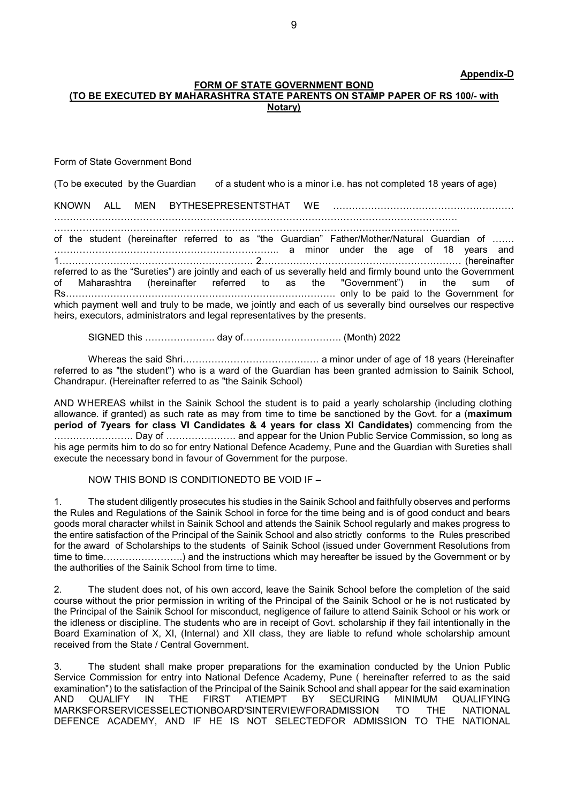#### Appendix-D

#### FORM OF STATE GOVERNMENT BOND (TO BE EXECUTED BY MAHARASHTRA STATE PARENTS ON STAMP PAPER OF RS 100/- with Notary)

Form of State Government Bond

(To be executed by the Guardian of a student who is a minor i.e. has not completed 18 years of age)

KNOWN ALL MEN BYTHESEPRESENTSTHAT WE …………………………………………………

………………………………………………………………………………………………………………. ………………………………………………………………………………………………………………..

of the student (hereinafter referred to as "the Guardian" Father/Mother/Natural Guardian of ……. …………………………………………………………….. a minor under the age of 18 years and 1……………………………………………………. 2……………………………………………………… (hereinafter referred to as the "Sureties") are jointly and each of us severally held and firmly bound unto the Government of Maharashtra (hereinafter referred to as the "Government") in the sum of Rs…………………………………………………………………………. only to be paid to the Government for which payment well and truly to be made, we jointly and each of us severally bind ourselves our respective heirs, executors, administrators and legal representatives by the presents.

SIGNED this …………………. day of…………………………. (Month) 2022

 Whereas the said Shri……………………………………. a minor under of age of 18 years (Hereinafter referred to as "the student") who is a ward of the Guardian has been granted admission to Sainik School, Chandrapur. (Hereinafter referred to as "the Sainik School)

AND WHEREAS whilst in the Sainik School the student is to paid a yearly scholarship (including clothing allowance. if granted) as such rate as may from time to time be sanctioned by the Govt. for a (maximum period of 7years for class VI Candidates & 4 years for class XI Candidates) commencing from the ……………………. Day of …………………. and appear for the Union Public Service Commission, so long as his age permits him to do so for entry National Defence Academy, Pune and the Guardian with Sureties shall execute the necessary bond in favour of Government for the purpose.

NOW THIS BOND IS CONDITIONEDTO BE VOID IF –

1. The student diligently prosecutes his studies in the Sainik School and faithfully observes and performs the Rules and Regulations of the Sainik School in force for the time being and is of good conduct and bears goods moral character whilst in Sainik School and attends the Sainik School regularly and makes progress to the entire satisfaction of the Principal of the Sainik School and also strictly conforms to the Rules prescribed for the award of Scholarships to the students of Sainik School (issued under Government Resolutions from time to time…………………….) and the instructions which may hereafter be issued by the Government or by the authorities of the Sainik School from time to time.

2. The student does not, of his own accord, leave the Sainik School before the completion of the said course without the prior permission in writing of the Principal of the Sainik School or he is not rusticated by the Principal of the Sainik School for misconduct, negligence of failure to attend Sainik School or his work or the idleness or discipline. The students who are in receipt of Govt. scholarship if they fail intentionally in the Board Examination of X, XI, (Internal) and XII class, they are liable to refund whole scholarship amount received from the State / Central Government.

3. The student shall make proper preparations for the examination conducted by the Union Public Service Commission for entry into National Defence Academy, Pune ( hereinafter referred to as the said examination") to the satisfaction of the Principal of the Sainik School and shall appear for the said examination AND QUALIFY IN THE FIRST ATIEMPT BY SECURING MINIMUM QUALIFYING<br>MARKSFORSERVICESSELECTIONBOARD'SINTERVIEWFORADMISSION TO THE NATIONAL MARKSFORSERVICESSELECTIONBOARD'SINTERVIEWFORADMISSION TO THE NATIONAL DEFENCE ACADEMY, AND IF HE IS NOT SELECTEDFOR ADMISSION TO THE NATIONAL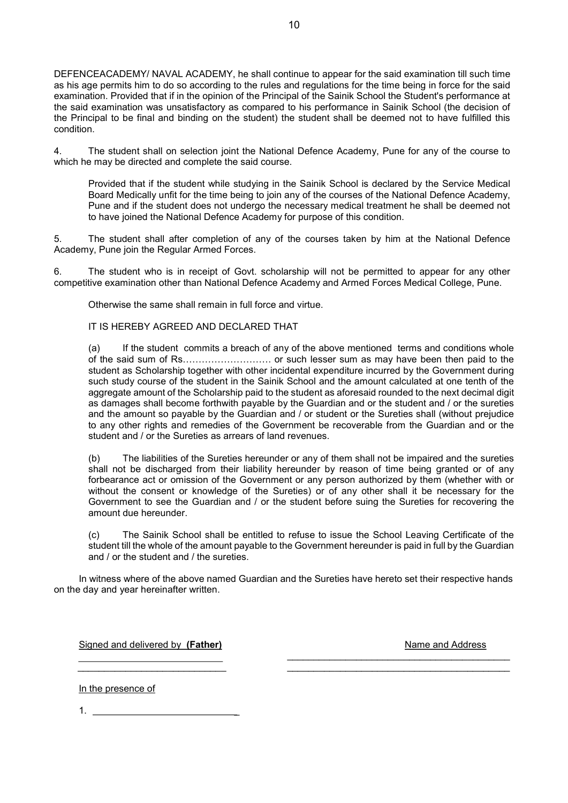DEFENCEACADEMY/ NAVAL ACADEMY, he shall continue to appear for the said examination till such time as his age permits him to do so according to the rules and regulations for the time being in force for the said examination. Provided that if in the opinion of the Principal of the Sainik School the Student's performance at the said examination was unsatisfactory as compared to his performance in Sainik School (the decision of the Principal to be final and binding on the student) the student shall be deemed not to have fulfilled this condition.

4. The student shall on selection joint the National Defence Academy, Pune for any of the course to which he may be directed and complete the said course.

Provided that if the student while studying in the Sainik School is declared by the Service Medical Board Medically unfit for the time being to join any of the courses of the National Defence Academy, Pune and if the student does not undergo the necessary medical treatment he shall be deemed not to have joined the National Defence Academy for purpose of this condition.

5. The student shall after completion of any of the courses taken by him at the National Defence Academy, Pune join the Regular Armed Forces.

6. The student who is in receipt of Govt. scholarship will not be permitted to appear for any other competitive examination other than National Defence Academy and Armed Forces Medical College, Pune.

Otherwise the same shall remain in full force and virtue.

#### IT IS HEREBY AGREED AND DECLARED THAT

(a) If the student commits a breach of any of the above mentioned terms and conditions whole of the said sum of Rs………………………. or such lesser sum as may have been then paid to the student as Scholarship together with other incidental expenditure incurred by the Government during such study course of the student in the Sainik School and the amount calculated at one tenth of the aggregate amount of the Scholarship paid to the student as aforesaid rounded to the next decimal digit as damages shall become forthwith payable by the Guardian and or the student and / or the sureties and the amount so payable by the Guardian and / or student or the Sureties shall (without prejudice to any other rights and remedies of the Government be recoverable from the Guardian and or the student and / or the Sureties as arrears of land revenues.

(b) The liabilities of the Sureties hereunder or any of them shall not be impaired and the sureties shall not be discharged from their liability hereunder by reason of time being granted or of any forbearance act or omission of the Government or any person authorized by them (whether with or without the consent or knowledge of the Sureties) or of any other shall it be necessary for the Government to see the Guardian and / or the student before suing the Sureties for recovering the amount due hereunder.

(c) The Sainik School shall be entitled to refuse to issue the School Leaving Certificate of the student till the whole of the amount payable to the Government hereunder is paid in full by the Guardian and / or the student and / the sureties.

In witness where of the above named Guardian and the Sureties have hereto set their respective hands on the day and year hereinafter written.

 $\overline{\phantom{a}}$  , and the contract of the contract of the contract of the contract of the contract of the contract of the contract of the contract of the contract of the contract of the contract of the contract of the contrac

Signed and delivered by (Father) Name and Address and Address and Address and Address and Address and Address and Address and Address and Address and Address and Address and Address and Address and Address and Address and

In the presence of

 $1.$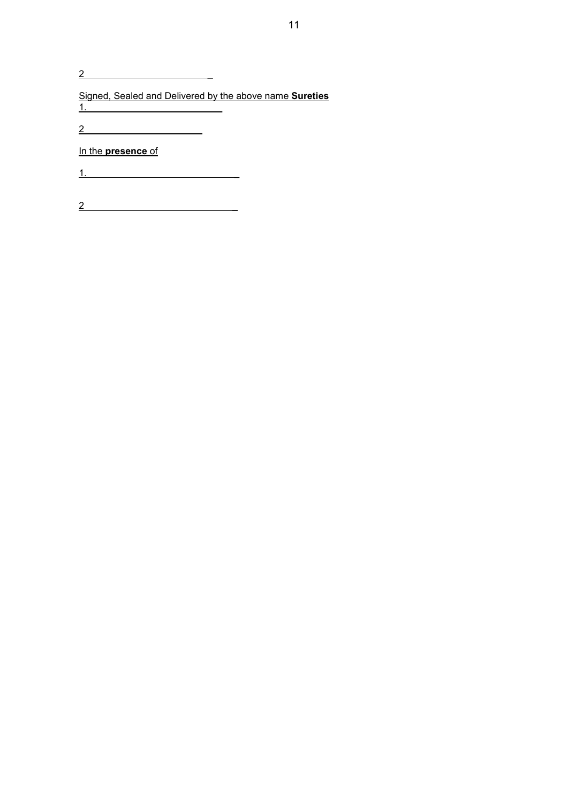2 \_

Signed, Sealed and Delivered by the above name Sureties 1. \_

2 \_

In the presence of

1. \_

2 \_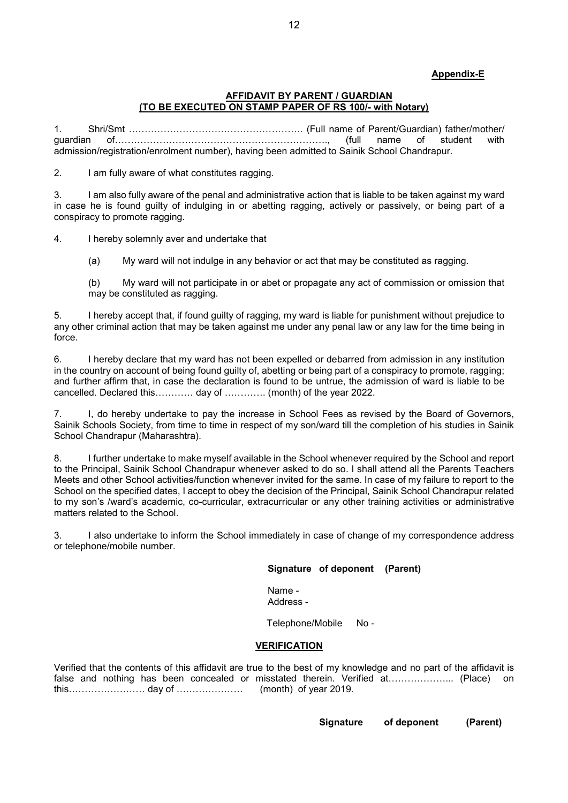# Appendix-E

#### AFFIDAVIT BY PARENT / GUARDIAN (TO BE EXECUTED ON STAMP PAPER OF RS 100/- with Notary)

1. Shri/Smt ………………………………………………. (Full name of Parent/Guardian) father/mother/ guardian of…………………………………………………………., (full name of student with admission/registration/enrolment number), having been admitted to Sainik School Chandrapur.

2. I am fully aware of what constitutes ragging.

3. I am also fully aware of the penal and administrative action that is liable to be taken against my ward in case he is found guilty of indulging in or abetting ragging, actively or passively, or being part of a conspiracy to promote ragging.

4. I hereby solemnly aver and undertake that

(a) My ward will not indulge in any behavior or act that may be constituted as ragging.

(b) My ward will not participate in or abet or propagate any act of commission or omission that may be constituted as ragging.

5. I hereby accept that, if found guilty of ragging, my ward is liable for punishment without prejudice to any other criminal action that may be taken against me under any penal law or any law for the time being in force.

6. I hereby declare that my ward has not been expelled or debarred from admission in any institution in the country on account of being found guilty of, abetting or being part of a conspiracy to promote, ragging; and further affirm that, in case the declaration is found to be untrue, the admission of ward is liable to be cancelled. Declared this………… day of …………. (month) of the year 2022.

7. I, do hereby undertake to pay the increase in School Fees as revised by the Board of Governors, Sainik Schools Society, from time to time in respect of my son/ward till the completion of his studies in Sainik School Chandrapur (Maharashtra).

8. I further undertake to make myself available in the School whenever required by the School and report to the Principal, Sainik School Chandrapur whenever asked to do so. I shall attend all the Parents Teachers Meets and other School activities/function whenever invited for the same. In case of my failure to report to the School on the specified dates, I accept to obey the decision of the Principal, Sainik School Chandrapur related to my son's /ward's academic, co-curricular, extracurricular or any other training activities or administrative matters related to the School.

3. I also undertake to inform the School immediately in case of change of my correspondence address or telephone/mobile number.

Signature of deponent (Parent)

Name - Address -

Telephone/Mobile No -

#### VERIFICATION

Verified that the contents of this affidavit are true to the best of my knowledge and no part of the affidavit is false and nothing has been concealed or misstated therein. Verified at………………….. (Place) on this…………………… day of ………………… (month) of year 2019.

Signature of deponent (Parent)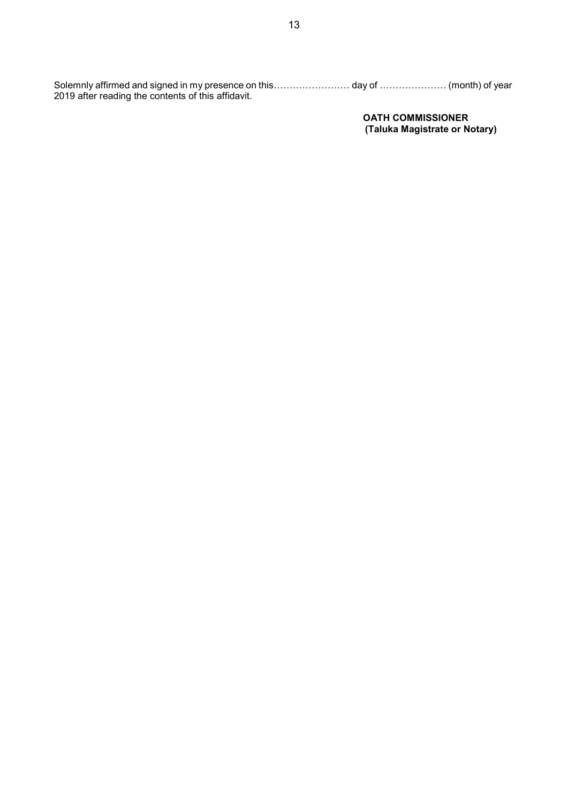Solemnly affirmed and signed in my presence on this…………………… day of ………………… (month) of year 2019 after reading the contents of this affidavit.

> OATH COMMISSIONER (Taluka Magistrate or Notary)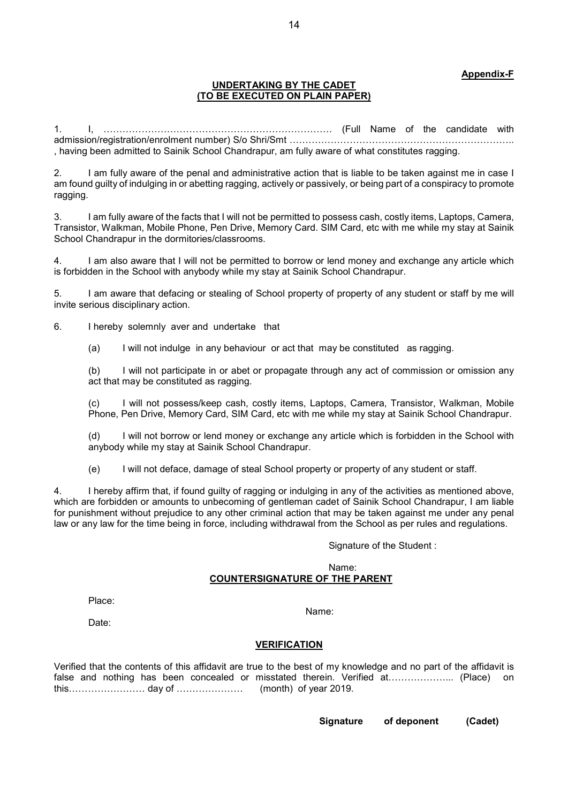## Appendix-F

#### UNDERTAKING BY THE CADET (TO BE EXECUTED ON PLAIN PAPER)

1. I, ……………………………………………………………… (Full Name of the candidate with admission/registration/enrolment number) S/o Shri/Smt …………………………………………………………….. , having been admitted to Sainik School Chandrapur, am fully aware of what constitutes ragging.

2. I am fully aware of the penal and administrative action that is liable to be taken against me in case I am found guilty of indulging in or abetting ragging, actively or passively, or being part of a conspiracy to promote ragging.

3. I am fully aware of the facts that I will not be permitted to possess cash, costly items, Laptops, Camera, Transistor, Walkman, Mobile Phone, Pen Drive, Memory Card. SIM Card, etc with me while my stay at Sainik School Chandrapur in the dormitories/classrooms.

4. I am also aware that I will not be permitted to borrow or lend money and exchange any article which is forbidden in the School with anybody while my stay at Sainik School Chandrapur.

5. I am aware that defacing or stealing of School property of property of any student or staff by me will invite serious disciplinary action.

6. I hereby solemnly aver and undertake that

(a) I will not indulge in any behaviour or act that may be constituted as ragging.

(b) I will not participate in or abet or propagate through any act of commission or omission any act that may be constituted as ragging.

I will not possess/keep cash, costly items, Laptops, Camera, Transistor, Walkman, Mobile Phone, Pen Drive, Memory Card, SIM Card, etc with me while my stay at Sainik School Chandrapur.

(d) I will not borrow or lend money or exchange any article which is forbidden in the School with anybody while my stay at Sainik School Chandrapur.

(e) I will not deface, damage of steal School property or property of any student or staff.

4. I hereby affirm that, if found guilty of ragging or indulging in any of the activities as mentioned above, which are forbidden or amounts to unbecoming of gentleman cadet of Sainik School Chandrapur, I am liable for punishment without prejudice to any other criminal action that may be taken against me under any penal law or any law for the time being in force, including withdrawal from the School as per rules and regulations.

Signature of the Student :

#### Name: COUNTERSIGNATURE OF THE PARENT

Place:

Name:

Date:

#### VERIFICATION

Verified that the contents of this affidavit are true to the best of my knowledge and no part of the affidavit is false and nothing has been concealed or misstated therein. Verified at………………... (Place) on this…………………… day of ………………… (month) of year 2019.

Signature of deponent (Cadet)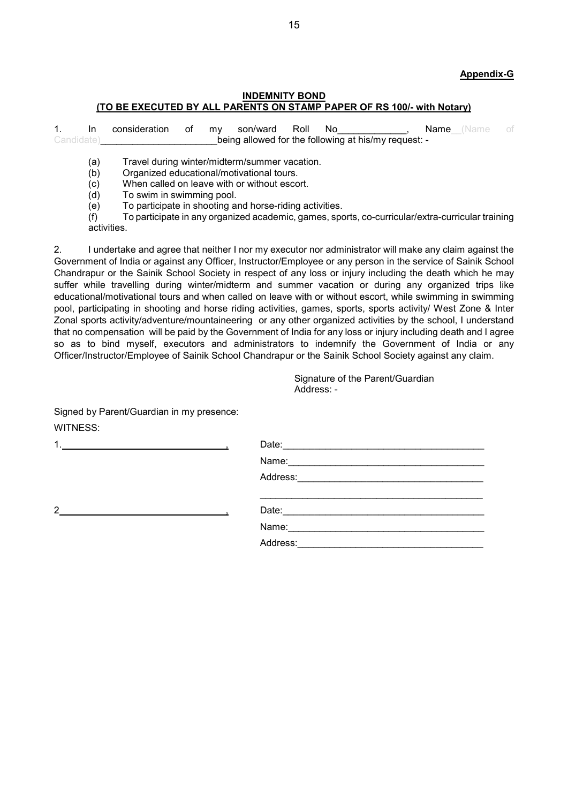# Appendix-G

## INDEMNITY BOND (TO BE EXECUTED BY ALL PARENTS ON STAMP PAPER OF RS 100/- with Notary)

1. In consideration of my son/ward Roll No and the Name (Name of Candidate)\_\_\_\_\_\_\_\_\_\_\_\_\_\_\_\_\_\_\_\_\_\_being allowed for the following at his/my request: -

(a) Travel during winter/midterm/summer vacation.

(b) Organized educational/motivational tours.

(c) When called on leave with or without escort.

(d) To swim in swimming pool.

(e) To participate in shooting and horse-riding activities.

 (f) To participate in any organized academic, games, sports, co-curricular/extra-curricular training activities.

2. I undertake and agree that neither I nor my executor nor administrator will make any claim against the Government of India or against any Officer, Instructor/Employee or any person in the service of Sainik School Chandrapur or the Sainik School Society in respect of any loss or injury including the death which he may suffer while travelling during winter/midterm and summer vacation or during any organized trips like educational/motivational tours and when called on leave with or without escort, while swimming in swimming pool, participating in shooting and horse riding activities, games, sports, sports activity/ West Zone & Inter Zonal sports activity/adventure/mountaineering or any other organized activities by the school, I understand that no compensation will be paid by the Government of India for any loss or injury including death and I agree so as to bind myself, executors and administrators to indemnify the Government of India or any Officer/Instructor/Employee of Sainik School Chandrapur or the Sainik School Society against any claim.

> Signature of the Parent/Guardian Address: -

| Signed by Parent/Guardian in my presence:                                                                                                                                                                                                              |            |
|--------------------------------------------------------------------------------------------------------------------------------------------------------------------------------------------------------------------------------------------------------|------------|
| <b>WITNESS:</b>                                                                                                                                                                                                                                        |            |
|                                                                                                                                                                                                                                                        |            |
|                                                                                                                                                                                                                                                        | Name: Name |
|                                                                                                                                                                                                                                                        | Address:   |
| $\overline{2}$<br><u>and the company of the company of the company of the company of the company of the company of the company of the company of the company of the company of the company of the company of the company of the company of the com</u> |            |
|                                                                                                                                                                                                                                                        | Name:      |
|                                                                                                                                                                                                                                                        | Address:   |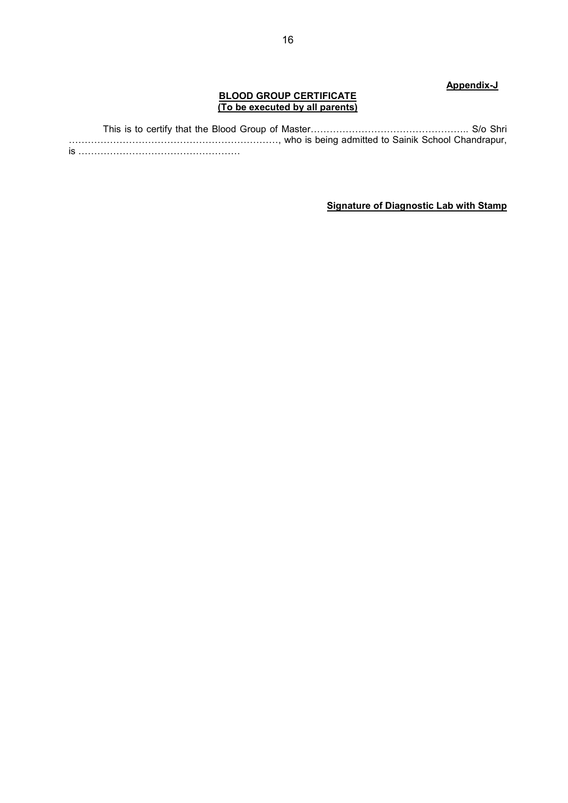# Appendix-J

## BLOOD GROUP CERTIFICATE (To be executed by all parents)

 This is to certify that the Blood Group of Master………………………………………….. S/o Shri …………………………………………………………, who is being admitted to Sainik School Chandrapur, is ……………………………………………

# Signature of Diagnostic Lab with Stamp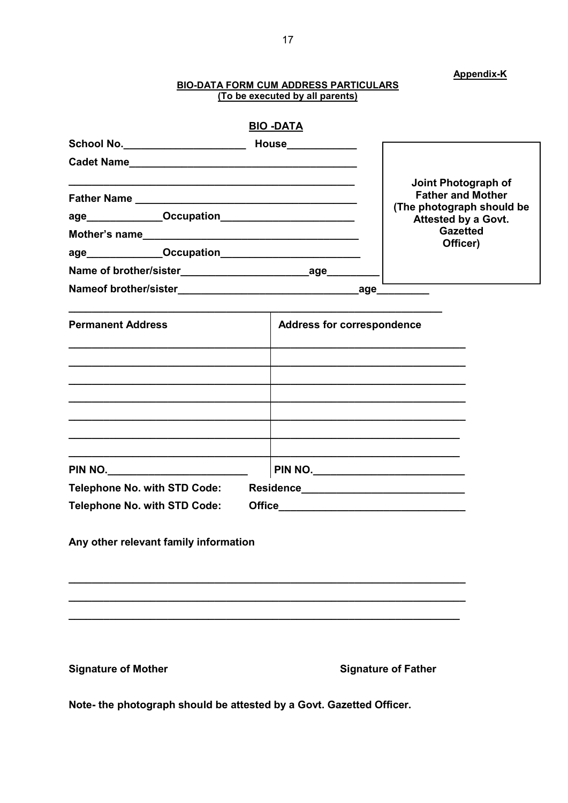# **BIO-DATA FORM CUM ADDRESS PARTICULARS**<br>(To be executed by all parents)

**Appendix-K** 

|                                       | <b>BIO -DATA</b>                  |                                                       |
|---------------------------------------|-----------------------------------|-------------------------------------------------------|
|                                       |                                   |                                                       |
|                                       |                                   |                                                       |
|                                       |                                   | Joint Photograph of                                   |
|                                       |                                   | <b>Father and Mother</b><br>(The photograph should be |
|                                       |                                   | Attested by a Govt.                                   |
|                                       |                                   | <b>Gazetted</b><br>Officer)                           |
|                                       |                                   |                                                       |
|                                       |                                   |                                                       |
|                                       |                                   |                                                       |
|                                       |                                   |                                                       |
| <b>Permanent Address</b>              | <b>Address for correspondence</b> |                                                       |
|                                       |                                   |                                                       |
|                                       |                                   |                                                       |
|                                       |                                   |                                                       |
|                                       |                                   |                                                       |
|                                       |                                   |                                                       |
|                                       |                                   |                                                       |
|                                       |                                   |                                                       |
|                                       |                                   |                                                       |
| <b>Telephone No. with STD Code:</b>   |                                   |                                                       |
| <b>Telephone No. with STD Code:</b>   |                                   |                                                       |
|                                       |                                   |                                                       |
| Any other relevant family information |                                   |                                                       |
|                                       |                                   |                                                       |
|                                       |                                   |                                                       |
|                                       |                                   |                                                       |
|                                       |                                   |                                                       |
|                                       |                                   |                                                       |
|                                       |                                   |                                                       |
| <b>Signature of Mother</b>            |                                   | <b>Signature of Father</b>                            |

Note- the photograph should be attested by a Govt. Gazetted Officer.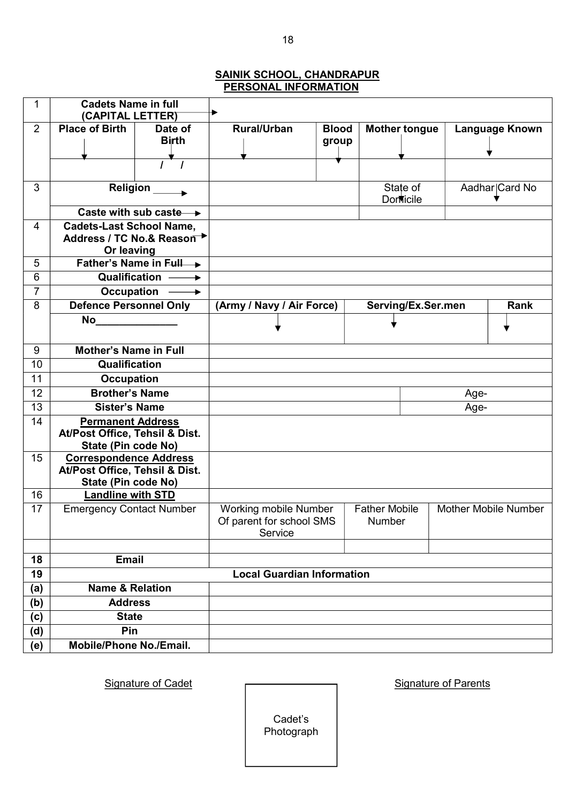# SAINIK SCHOOL, CHANDRAPUR PERSONAL INFORMATION

| 1              | <b>Cadets Name in full</b>                           |                                    |      |                                   |              |                      |                             |      |                       |
|----------------|------------------------------------------------------|------------------------------------|------|-----------------------------------|--------------|----------------------|-----------------------------|------|-----------------------|
| $\overline{2}$ | (CAPITAL LETTER)<br>Date of<br><b>Place of Birth</b> |                                    |      | <b>Rural/Urban</b>                | <b>Blood</b> |                      | <b>Mother tongue</b>        |      | <b>Language Known</b> |
|                |                                                      | <b>Birth</b>                       |      |                                   | group        |                      |                             |      |                       |
|                |                                                      |                                    |      |                                   |              |                      |                             |      |                       |
|                |                                                      |                                    |      |                                   |              |                      |                             |      |                       |
| 3              | Religion                                             |                                    |      |                                   |              |                      |                             |      |                       |
|                |                                                      |                                    |      |                                   |              |                      | State of<br><b>Domicile</b> |      | Aadhar Card No        |
|                |                                                      | Caste with sub caste $\rightarrow$ |      |                                   |              |                      |                             |      |                       |
| 4              | <b>Cadets-Last School Name,</b>                      |                                    |      |                                   |              |                      |                             |      |                       |
|                |                                                      | Address / TC No.& Reason →         |      |                                   |              |                      |                             |      |                       |
| 5              | Or leaving                                           | Father's Name in Full              |      |                                   |              |                      |                             |      |                       |
| 6              |                                                      | Qualification -                    |      |                                   |              |                      |                             |      |                       |
| 7              | Occupation                                           | $\longrightarrow$                  |      |                                   |              |                      |                             |      |                       |
| 8              | <b>Defence Personnel Only</b>                        |                                    |      | (Army / Navy / Air Force)         |              |                      | Serving/Ex.Ser.men          |      | <b>Rank</b>           |
|                | <b>No</b>                                            |                                    |      |                                   |              |                      |                             |      |                       |
|                |                                                      |                                    |      |                                   |              |                      |                             |      |                       |
| 9              | <b>Mother's Name in Full</b>                         |                                    |      |                                   |              |                      |                             |      |                       |
| 10             | Qualification                                        |                                    |      |                                   |              |                      |                             |      |                       |
| 11             | <b>Occupation</b>                                    |                                    |      |                                   |              |                      |                             |      |                       |
| 12             | <b>Brother's Name</b>                                |                                    |      |                                   |              |                      |                             | Age- |                       |
| 13             | <b>Sister's Name</b>                                 |                                    | Age- |                                   |              |                      |                             |      |                       |
| 14             | <b>Permanent Address</b>                             |                                    |      |                                   |              |                      |                             |      |                       |
|                | At/Post Office, Tehsil & Dist.                       |                                    |      |                                   |              |                      |                             |      |                       |
| 15             | State (Pin code No)<br><b>Correspondence Address</b> |                                    |      |                                   |              |                      |                             |      |                       |
|                | At/Post Office, Tehsil & Dist.                       |                                    |      |                                   |              |                      |                             |      |                       |
|                | State (Pin code No)                                  |                                    |      |                                   |              |                      |                             |      |                       |
| 16             | <b>Landline with STD</b>                             |                                    |      |                                   |              |                      |                             |      |                       |
| 17             | <b>Emergency Contact Number</b>                      |                                    |      | Working mobile Number             |              | <b>Father Mobile</b> |                             |      | Mother Mobile Number  |
|                |                                                      |                                    |      | Of parent for school SMS          |              | Number               |                             |      |                       |
|                |                                                      |                                    |      | Service                           |              |                      |                             |      |                       |
| 18             | <b>Email</b>                                         |                                    |      |                                   |              |                      |                             |      |                       |
| 19             |                                                      |                                    |      | <b>Local Guardian Information</b> |              |                      |                             |      |                       |
| (a)            | <b>Name &amp; Relation</b>                           |                                    |      |                                   |              |                      |                             |      |                       |
| (b)            | <b>Address</b>                                       |                                    |      |                                   |              |                      |                             |      |                       |
| (c)            | <b>State</b>                                         |                                    |      |                                   |              |                      |                             |      |                       |
| (d)            | Pin                                                  |                                    |      |                                   |              |                      |                             |      |                       |
| (e)            |                                                      | <b>Mobile/Phone No./Email.</b>     |      |                                   |              |                      |                             |      |                       |

Signature of Cadet **Signature of Parents** 

Cadet's Photograph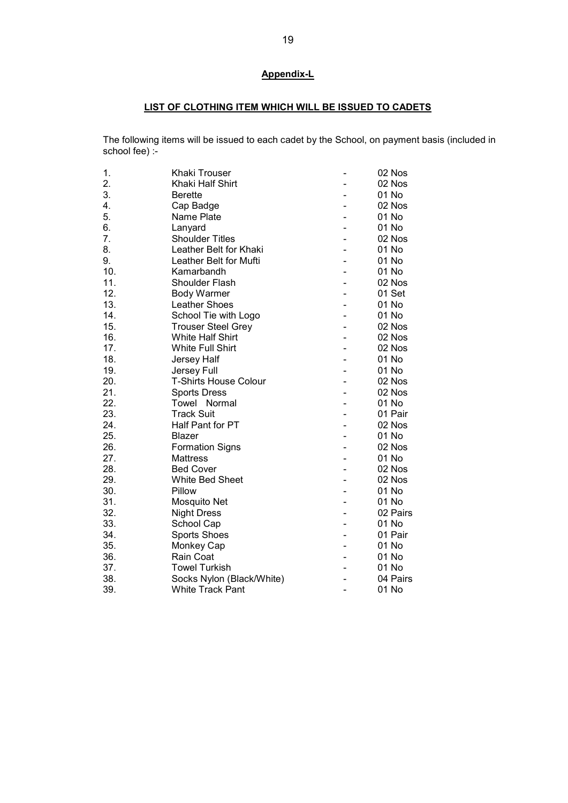# Appendix-L

# LIST OF CLOTHING ITEM WHICH WILL BE ISSUED TO CADETS

The following items will be issued to each cadet by the School, on payment basis (included in school fee) :-

| Khaki Trouser                | 02 Nos   |
|------------------------------|----------|
| Khaki Half Shirt             | 02 Nos   |
| <b>Berette</b>               | 01 No    |
| Cap Badge                    | 02 Nos   |
| Name Plate                   | 01 No    |
| Lanyard                      | 01 No    |
| <b>Shoulder Titles</b>       | 02 Nos   |
| Leather Belt for Khaki       | 01 No    |
| Leather Belt for Mufti       | 01 No    |
| Kamarbandh                   | 01 No    |
| <b>Shoulder Flash</b>        | 02 Nos   |
| <b>Body Warmer</b>           | 01 Set   |
| Leather Shoes                | 01 No    |
| School Tie with Logo         | 01 No    |
| <b>Trouser Steel Grey</b>    | 02 Nos   |
| <b>White Half Shirt</b>      | 02 Nos   |
| <b>White Full Shirt</b>      | 02 Nos   |
| Jersey Half                  | 01 No    |
| Jersey Full                  | 01 No    |
| <b>T-Shirts House Colour</b> | 02 Nos   |
| <b>Sports Dress</b>          | 02 Nos   |
| Towel Normal                 | 01 No    |
| <b>Track Suit</b>            | 01 Pair  |
| Half Pant for PT             | 02 Nos   |
| Blazer                       | 01 No    |
| <b>Formation Signs</b>       | 02 Nos   |
| <b>Mattress</b>              | 01 No    |
| <b>Bed Cover</b>             | 02 Nos   |
| White Bed Sheet              | 02 Nos   |
| Pillow                       | 01 No    |
| Mosquito Net                 | 01 No    |
| <b>Night Dress</b>           | 02 Pairs |
| School Cap                   | 01 No    |
| <b>Sports Shoes</b>          | 01 Pair  |
| Monkey Cap                   | 01 No    |
| Rain Coat                    | 01 No    |
| <b>Towel Turkish</b>         | 01 No    |
| Socks Nylon (Black/White)    | 04 Pairs |
| White Track Pant             | 01 No    |
|                              |          |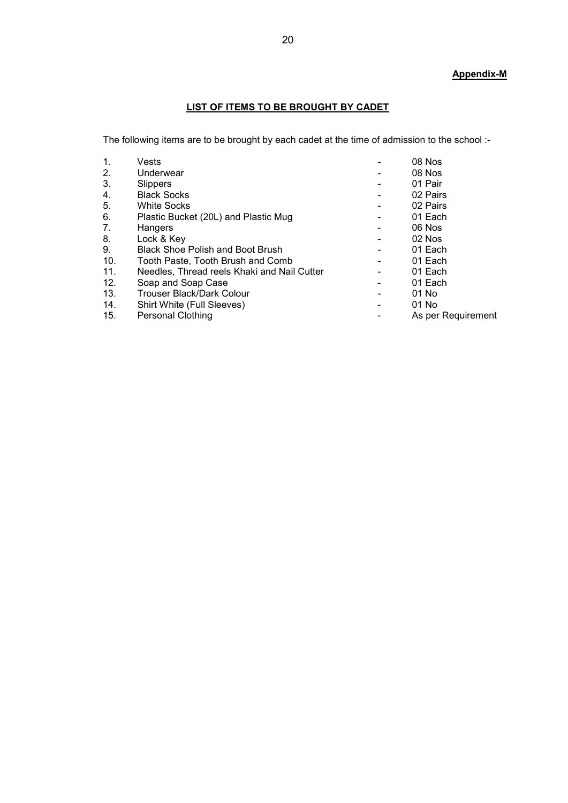# Appendix-M

# LIST OF ITEMS TO BE BROUGHT BY CADET

The following items are to be brought by each cadet at the time of admission to the school :-

| 1.  | Vests                                       | 08 Nos             |
|-----|---------------------------------------------|--------------------|
| 2.  | Underwear                                   | 08 Nos             |
| 3.  | Slippers                                    | 01 Pair            |
| 4.  | <b>Black Socks</b>                          | 02 Pairs           |
| 5.  | <b>White Socks</b>                          | 02 Pairs           |
| 6.  | Plastic Bucket (20L) and Plastic Mug        | 01 Each            |
| 7.  | Hangers                                     | 06 Nos             |
| 8.  | Lock & Key                                  | 02 Nos             |
| 9.  | <b>Black Shoe Polish and Boot Brush</b>     | 01 Each            |
| 10. | Tooth Paste. Tooth Brush and Comb           | 01 Each            |
| 11. | Needles, Thread reels Khaki and Nail Cutter | 01 Each            |
| 12. | Soap and Soap Case                          | 01 Each            |
| 13. | <b>Trouser Black/Dark Colour</b>            | 01 No              |
| 14. | Shirt White (Full Sleeves)                  | 01 No              |
| 15. | <b>Personal Clothing</b>                    | As per Requirement |
|     |                                             |                    |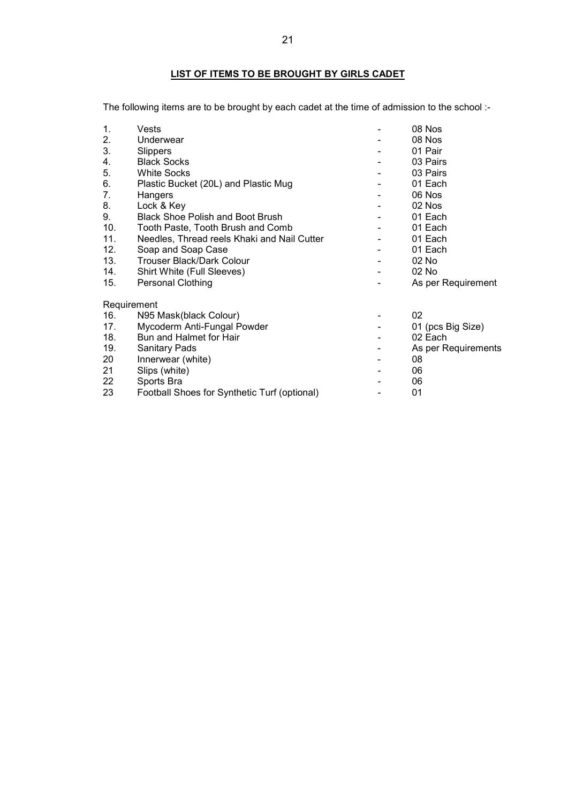# LIST OF ITEMS TO BE BROUGHT BY GIRLS CADET

The following items are to be brought by each cadet at the time of admission to the school :-

| 1.  | Vests                                        | 08 Nos              |
|-----|----------------------------------------------|---------------------|
| 2.  | Underwear                                    | 08 Nos              |
| 3.  | Slippers                                     | 01 Pair             |
| 4.  | <b>Black Socks</b>                           | 03 Pairs            |
| 5.  | <b>White Socks</b>                           | 03 Pairs            |
| 6.  | Plastic Bucket (20L) and Plastic Mug         | 01 Each             |
| 7.  | Hangers                                      | 06 Nos              |
| 8.  | Lock & Key                                   | 02 Nos              |
| 9.  | <b>Black Shoe Polish and Boot Brush</b>      | 01 Each             |
| 10. | Tooth Paste, Tooth Brush and Comb            | 01 Each             |
| 11. | Needles, Thread reels Khaki and Nail Cutter  | 01 Each             |
| 12. | Soap and Soap Case                           | 01 Each             |
| 13. | <b>Trouser Black/Dark Colour</b>             | 02 No               |
| 14. | Shirt White (Full Sleeves)                   | 02 No               |
| 15. | <b>Personal Clothing</b>                     | As per Requirement  |
|     | Requirement                                  |                     |
| 16. | N95 Mask(black Colour)                       | 02                  |
| 17. | Mycoderm Anti-Fungal Powder                  | 01 (pcs Big Size)   |
| 18. | Bun and Halmet for Hair                      | 02 Each             |
| 19. | <b>Sanitary Pads</b>                         | As per Requirements |
| 20  | Innerwear (white)                            | 08                  |
| 21  | Slips (white)                                | 06                  |
| 22  | Sports Bra                                   | 06                  |
| 23  | Football Shoes for Synthetic Turf (optional) | 01                  |